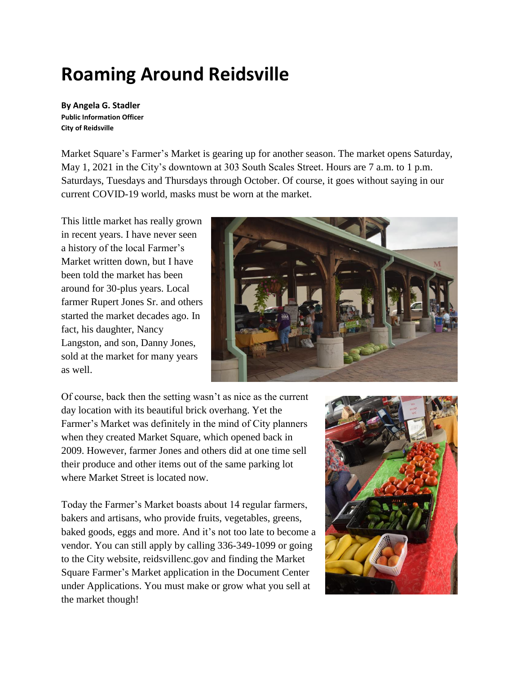# **Roaming Around Reidsville**

**By Angela G. Stadler Public Information Officer City of Reidsville**

Market Square's Farmer's Market is gearing up for another season. The market opens Saturday, May 1, 2021 in the City's downtown at 303 South Scales Street. Hours are 7 a.m. to 1 p.m. Saturdays, Tuesdays and Thursdays through October. Of course, it goes without saying in our current COVID-19 world, masks must be worn at the market.

This little market has really grown in recent years. I have never seen a history of the local Farmer's Market written down, but I have been told the market has been around for 30-plus years. Local farmer Rupert Jones Sr. and others started the market decades ago. In fact, his daughter, Nancy Langston, and son, Danny Jones, sold at the market for many years as well.



Of course, back then the setting wasn't as nice as the current day location with its beautiful brick overhang. Yet the Farmer's Market was definitely in the mind of City planners when they created Market Square, which opened back in 2009. However, farmer Jones and others did at one time sell their produce and other items out of the same parking lot where Market Street is located now.

Today the Farmer's Market boasts about 14 regular farmers, bakers and artisans, who provide fruits, vegetables, greens, baked goods, eggs and more. And it's not too late to become a vendor. You can still apply by calling 336-349-1099 or going to the City website, reidsvillenc.gov and finding the Market Square Farmer's Market application in the Document Center under Applications. You must make or grow what you sell at the market though!

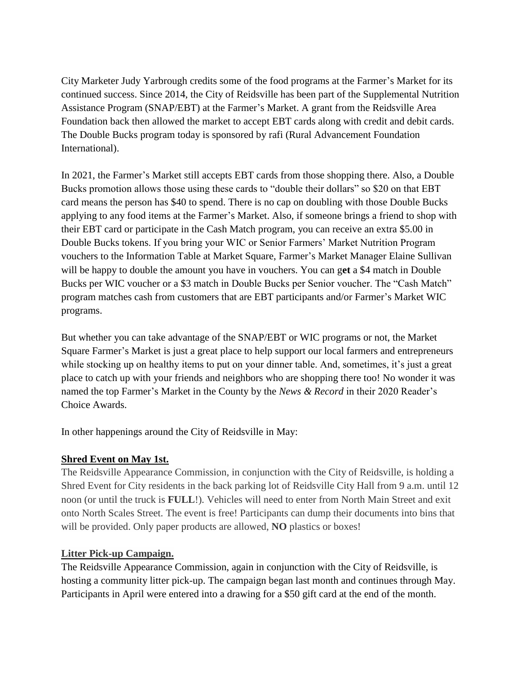City Marketer Judy Yarbrough credits some of the food programs at the Farmer's Market for its continued success. Since 2014, the City of Reidsville has been part of the Supplemental Nutrition Assistance Program (SNAP/EBT) at the Farmer's Market. A grant from the Reidsville Area Foundation back then allowed the market to accept EBT cards along with credit and debit cards. The Double Bucks program today is sponsored by rafi (Rural Advancement Foundation International).

In 2021, the Farmer's Market still accepts EBT cards from those shopping there. Also, a Double Bucks promotion allows those using these cards to "double their dollars" so \$20 on that EBT card means the person has \$40 to spend. There is no cap on doubling with those Double Bucks applying to any food items at the Farmer's Market. Also, if someone brings a friend to shop with their EBT card or participate in the Cash Match program, you can receive an extra \$5.00 in Double Bucks tokens. If you bring your WIC or Senior Farmers' Market Nutrition Program vouchers to the Information Table at Market Square, Farmer's Market Manager Elaine Sullivan will be happy to double the amount you have in vouchers. You can g**et** a \$4 match in Double Bucks per WIC voucher or a \$3 match in Double Bucks per Senior voucher. The "Cash Match" program matches cash from customers that are EBT participants and/or Farmer's Market WIC programs.

But whether you can take advantage of the SNAP/EBT or WIC programs or not, the Market Square Farmer's Market is just a great place to help support our local farmers and entrepreneurs while stocking up on healthy items to put on your dinner table. And, sometimes, it's just a great place to catch up with your friends and neighbors who are shopping there too! No wonder it was named the top Farmer's Market in the County by the *News & Record* in their 2020 Reader's Choice Awards.

In other happenings around the City of Reidsville in May:

#### **Shred Event on May 1st.**

The Reidsville Appearance Commission, in conjunction with the City of Reidsville, is holding a Shred Event for City residents in the back parking lot of Reidsville City Hall from 9 a.m. until 12 noon (or until the truck is **FULL**!). Vehicles will need to enter from North Main Street and exit onto North Scales Street. The event is free! Participants can dump their documents into bins that will be provided. Only paper products are allowed, **NO** plastics or boxes!

#### **Litter Pick-up Campaign.**

The Reidsville Appearance Commission, again in conjunction with the City of Reidsville, is hosting a community litter pick-up. The campaign began last month and continues through May. Participants in April were entered into a drawing for a \$50 gift card at the end of the month.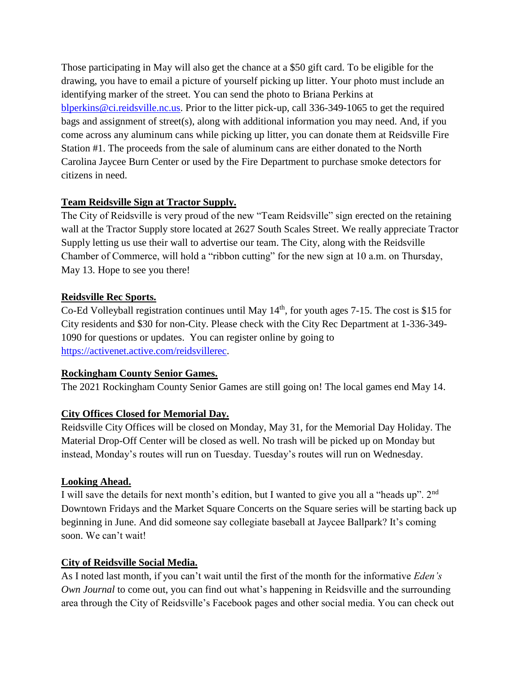Those participating in May will also get the chance at a \$50 gift card. To be eligible for the drawing, you have to email a picture of yourself picking up litter. Your photo must include an identifying marker of the street. You can send the photo to Briana Perkins at [blperkins@ci.reidsville.nc.us.](mailto:blperkins@ci.reidsville.nc.us) Prior to the litter pick-up, call 336-349-1065 to get the required bags and assignment of street(s), along with additional information you may need. And, if you come across any aluminum cans while picking up litter, you can donate them at Reidsville Fire Station #1. The proceeds from the sale of aluminum cans are either donated to the North Carolina Jaycee Burn Center or used by the Fire Department to purchase smoke detectors for citizens in need.

### **Team Reidsville Sign at Tractor Supply.**

The City of Reidsville is very proud of the new "Team Reidsville" sign erected on the retaining wall at the Tractor Supply store located at 2627 South Scales Street. We really appreciate Tractor Supply letting us use their wall to advertise our team. The City, along with the Reidsville Chamber of Commerce, will hold a "ribbon cutting" for the new sign at 10 a.m. on Thursday, May 13. Hope to see you there!

#### **Reidsville Rec Sports.**

Co-Ed Volleyball registration continues until May  $14<sup>th</sup>$ , for youth ages 7-15. The cost is \$15 for City residents and \$30 for non-City. Please check with the City Rec Department at 1-336-349- 1090 for questions or updates. You can register online by going to [https://activenet.active.com/reidsvillerec.](https://activenet.active.com/reidsvillerec)

#### **Rockingham County Senior Games.**

The 2021 Rockingham County Senior Games are still going on! The local games end May 14.

## **City Offices Closed for Memorial Day.**

Reidsville City Offices will be closed on Monday, May 31, for the Memorial Day Holiday. The Material Drop-Off Center will be closed as well. No trash will be picked up on Monday but instead, Monday's routes will run on Tuesday. Tuesday's routes will run on Wednesday.

#### **Looking Ahead.**

I will save the details for next month's edition, but I wanted to give you all a "heads up". 2nd Downtown Fridays and the Market Square Concerts on the Square series will be starting back up beginning in June. And did someone say collegiate baseball at Jaycee Ballpark? It's coming soon. We can't wait!

#### **City of Reidsville Social Media.**

As I noted last month, if you can't wait until the first of the month for the informative *Eden's Own Journal* to come out, you can find out what's happening in Reidsville and the surrounding area through the City of Reidsville's Facebook pages and other social media. You can check out